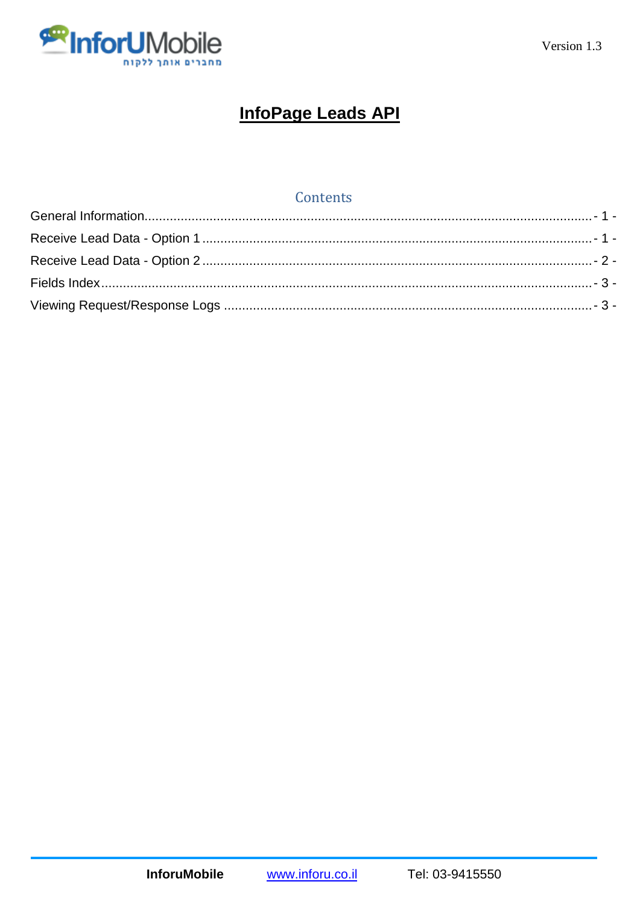

# **InfoPage Leads API**

# Contents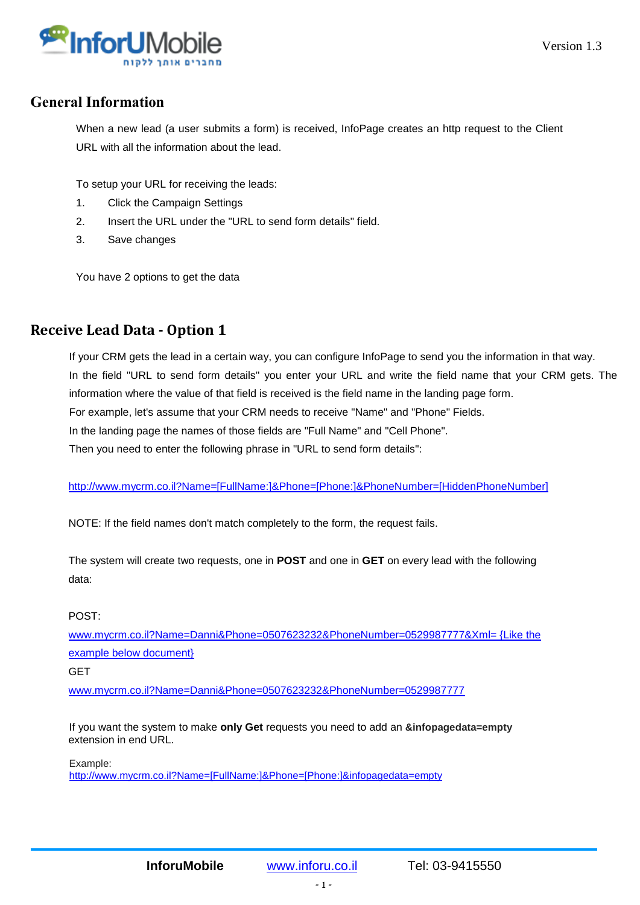

### <span id="page-1-0"></span>**General Information**

When a new lead (a user submits a form) is received, InfoPage creates an http request to the Client URL with all the information about the lead.

To setup your URL for receiving the leads:

- 1. Click the Campaign Settings
- 2. Insert the URL under the "URL to send form details" field.
- 3. Save changes

You have 2 options to get the data

### <span id="page-1-1"></span>**Receive Lead Data - Option 1**

If your CRM gets the lead in a certain way, you can configure InfoPage to send you the information in that way. In the field "URL to send form details" you enter your URL and write the field name that your CRM gets. The information where the value of that field is received is the field name in the landing page form. For example, let's assume that your CRM needs to receive "Name" and "Phone" Fields. In the landing page the names of those fields are "Full Name" and "Cell Phone". Then you need to enter the following phrase in "URL to send form details":

[http://www.mycrm.co.il?Name=\[FullName:\]&Phone=\[Phone:\]&PhoneNumber=\[HiddenPhoneNumber\]](http://www.mycrm.co.il/?Name=%5bFullName:%5d&Phone=%5bPhone:%5d&PhoneNumber=%5bHiddenPhoneNumber%5d)

NOTE: If the field names don't match completely to the form, the request fails.

The system will create two requests, one in **POST** and one in **GET** on every lead with the following data:

#### POST:

[www.mycrm.co.il?Name=Danni&Phone=0507623232&PhoneNumber=0529987777&Xml= {Like the](http://www.mycrm.co.il/?Name=Danni&Phone=0507623232&PhoneNumber=0529987777&Xml=%20%7bLike%20the%20example%20below%20document%7d)  [example below document}](http://www.mycrm.co.il/?Name=Danni&Phone=0507623232&PhoneNumber=0529987777&Xml=%20%7bLike%20the%20example%20below%20document%7d)

**GET** 

[www.mycrm.co.il?Name=Danni&Phone=0507623232&PhoneNumber=0529987777](http://www.mycrm.co.il/?Name=Danni&Phone=0507623232&PhoneNumber=0529987777)

If you want the system to make **only Get** requests you need to add an **&infopagedata=empty** extension in end URL.

Example:

[http://www.mycrm.co.il?Name=\[FullName:\]&Phone=\[Phone:\]&infopagedata=empty](http://www.mycrm.co.il/?Name=%5bFullName:%5d&Phone=%5bPhone:%5d&infopagedata=empty)

- 1 -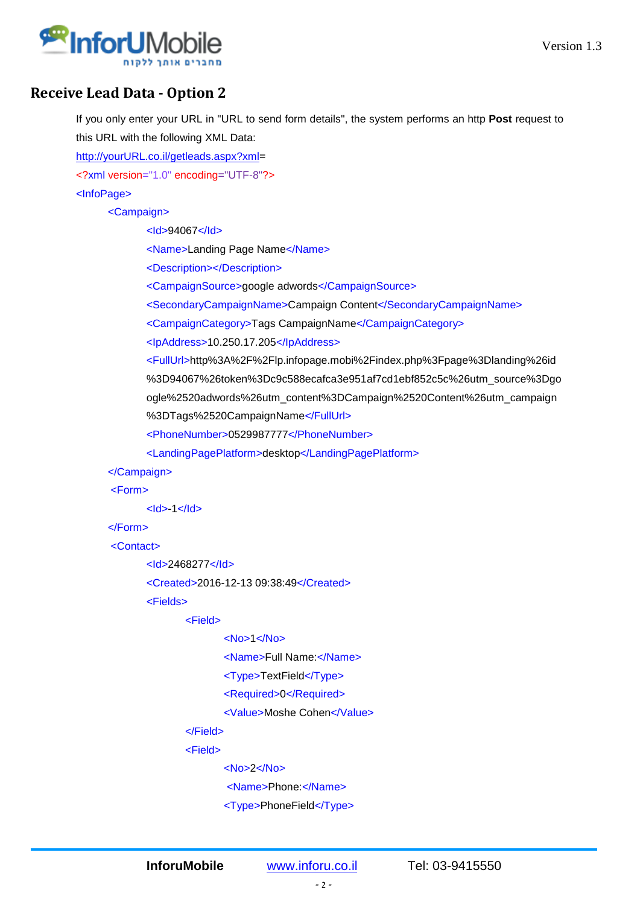

# <span id="page-2-0"></span>**Receive Lead Data - Option 2**

If you only enter your URL in "URL to send form details", the system performs an http **Post** request to this URL with the following XML Data:

[http://yourURL.co.il/getleads.aspx?xml=](http://yoururl.co.il/getleads.aspx?xml)

<?xml version="1.0" encoding="UTF-8"?>

<InfoPage>

<Campaign>

<Id>94067</Id>

<Name>Landing Page Name</Name>

<Description></Description>

<CampaignSource>google adwords</CampaignSource>

<SecondaryCampaignName>Campaign Content</SecondaryCampaignName>

<CampaignCategory>Tags CampaignName</CampaignCategory>

<IpAddress>10.250.17.205</IpAddress>

<FullUrl>http%3A%2F%2Flp.infopage.mobi%2Findex.php%3Fpage%3Dlanding%26id %3D94067%26token%3Dc9c588ecafca3e951af7cd1ebf852c5c%26utm\_source%3Dgo ogle%2520adwords%26utm\_content%3DCampaign%2520Content%26utm\_campaign %3DTags%2520CampaignName</FullUrl>

<PhoneNumber>0529987777</PhoneNumber>

<LandingPagePlatform>desktop</LandingPagePlatform>

</Campaign>

<Form>

 $<$ Id $>$ -1 $<$ /Id $>$ 

</Form>

<Contact>

<Id>2468277</Id>

<Created>2016-12-13 09:38:49</Created>

<Fields>

<Field>

```
 <No>1</No>
```
<Name>Full Name:</Name>

```
 <Type>TextField</Type>
```
<Required>0</Required>

<Value>Moshe Cohen</Value>

</Field>

<Field>

<No>2</No>

<Name>Phone:</Name>

<Type>PhoneField</Type>

**InforuMobile** [www.inforu.co.il](http://www.inforu.co.il/) Tel: 03-9415550